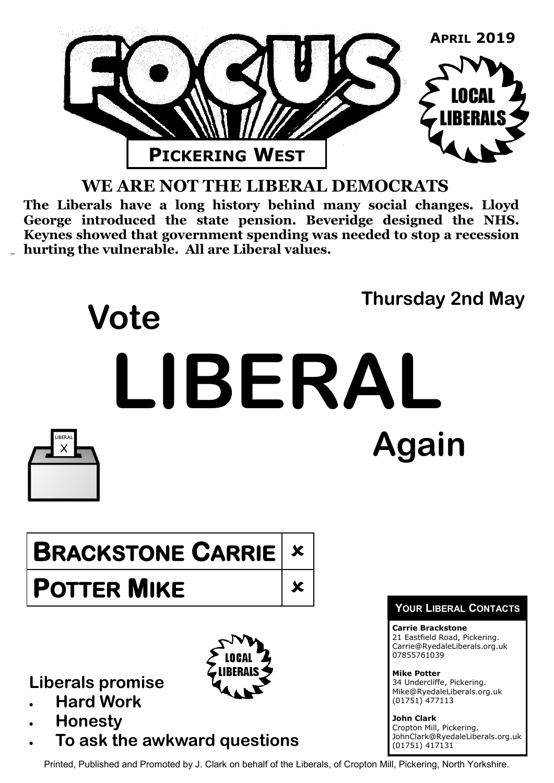

## **WE ARE NOT THE LIBERAL DEMOCRATS**

**The Liberals have a long history behind many social changes. Lloyd George introduced the state pension. Beveridge designed the NHS. Keynes showed that government spending was needed to stop a recession hurting the vulnerable. All are Liberal values.**



**Liberals promise**

- **Hard Work**
- **Honesty**
- **To ask the awkward questions**

Carrie@RyedaleLiberals.org.uk 07855761039

**Mike Potter** 34 Undercliffe, Pickering. Mike@RyedaleLiberals.org.uk (01751) 477113

**John Clark** Cropton Mill, Pickering. JohnClark@RyedaleLiberals.org.uk (01751) 417131

Printed, Published and Promoted by J. Clark on behalf of the Liberals, of Cropton Mill, Pickering, North Yorkshire.